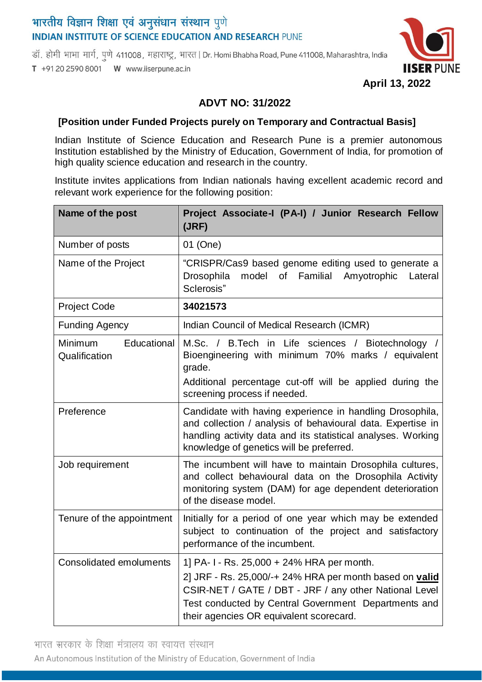# भारतीय विज्ञान शिक्षा एवं अनुसंधान संस्थान पुणे **INDIAN INSTITUTE OF SCIENCE EDUCATION AND RESEARCH PUNE**

डॉ. होमी भाभा मार्ग, पुणे 411008, महाराष्ट्र, भारत | Dr. Homi Bhabha Road, Pune 411008, Maharashtra, India T +91 20 2590 8001 W www.iiserpune.ac.in



#### **April 13, 2022**

## **ADVT NO: 31/2022**

#### **[Position under Funded Projects purely on Temporary and Contractual Basis]**

Indian Institute of Science Education and Research Pune is a premier autonomous Institution established by the Ministry of Education, Government of India, for promotion of high quality science education and research in the country.

Institute invites applications from Indian nationals having excellent academic record and relevant work experience for the following position:

| Name of the post                               | Project Associate-I (PA-I) / Junior Research Fellow<br>(JRF)                                                                                                                                                                                                    |
|------------------------------------------------|-----------------------------------------------------------------------------------------------------------------------------------------------------------------------------------------------------------------------------------------------------------------|
| Number of posts                                | 01 (One)                                                                                                                                                                                                                                                        |
| Name of the Project                            | "CRISPR/Cas9 based genome editing used to generate a<br>Drosophila model of Familial<br>Amyotrophic<br>Lateral<br>Sclerosis"                                                                                                                                    |
| <b>Project Code</b>                            | 34021573                                                                                                                                                                                                                                                        |
| <b>Funding Agency</b>                          | Indian Council of Medical Research (ICMR)                                                                                                                                                                                                                       |
| Educational<br><b>Minimum</b><br>Qualification | M.Sc. / B.Tech in Life sciences / Biotechnology /<br>Bioengineering with minimum 70% marks / equivalent<br>grade.<br>Additional percentage cut-off will be applied during the<br>screening process if needed.                                                   |
| Preference                                     | Candidate with having experience in handling Drosophila,<br>and collection / analysis of behavioural data. Expertise in<br>handling activity data and its statistical analyses. Working<br>knowledge of genetics will be preferred.                             |
| Job requirement                                | The incumbent will have to maintain Drosophila cultures,<br>and collect behavioural data on the Drosophila Activity<br>monitoring system (DAM) for age dependent deterioration<br>of the disease model.                                                         |
| Tenure of the appointment                      | Initially for a period of one year which may be extended<br>subject to continuation of the project and satisfactory<br>performance of the incumbent.                                                                                                            |
| <b>Consolidated emoluments</b>                 | 1] PA-1-Rs. 25,000 + 24% HRA per month.<br>2] JRF - Rs. 25,000/-+ 24% HRA per month based on valid<br>CSIR-NET / GATE / DBT - JRF / any other National Level<br>Test conducted by Central Government Departments and<br>their agencies OR equivalent scorecard. |

भारत सरकार के शिक्षा मंत्रालय का स्वायत्त संस्थान

An Autonomous Institution of the Ministry of Education, Government of India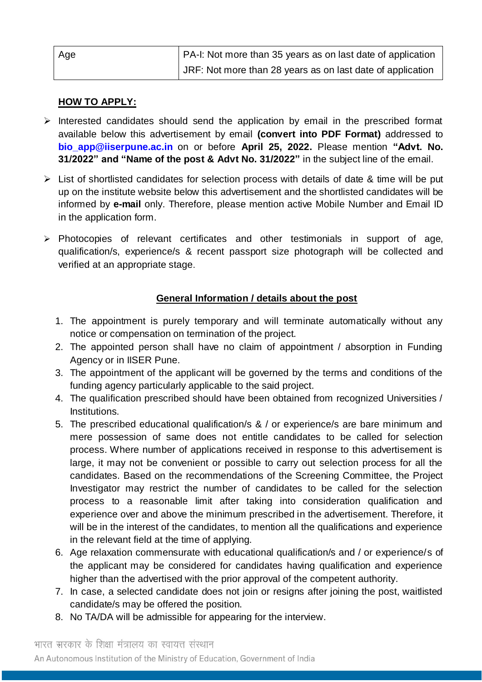| Age | PA-I: Not more than 35 years as on last date of application |
|-----|-------------------------------------------------------------|
|     | JRF: Not more than 28 years as on last date of application  |

## **HOW TO APPLY:**

- $\triangleright$  Interested candidates should send the application by email in the prescribed format available below this advertisement by email **(convert into PDF Format)** addressed to **[bio\\_app@iiserpune.ac.in](mailto:bio_app@iiserpune.ac.in)** on or before **April 25, 2022.** Please mention **"Advt. No. 31/2022" and "Name of the post & Advt No. 31/2022"** in the subject line of the email.
- $\triangleright$  List of shortlisted candidates for selection process with details of date & time will be put up on the institute website below this advertisement and the shortlisted candidates will be informed by **e-mail** only. Therefore, please mention active Mobile Number and Email ID in the application form.
- $\triangleright$  Photocopies of relevant certificates and other testimonials in support of age, qualification/s, experience/s & recent passport size photograph will be collected and verified at an appropriate stage.

# **General Information / details about the post**

- 1. The appointment is purely temporary and will terminate automatically without any notice or compensation on termination of the project.
- 2. The appointed person shall have no claim of appointment / absorption in Funding Agency or in IISER Pune.
- 3. The appointment of the applicant will be governed by the terms and conditions of the funding agency particularly applicable to the said project.
- 4. The qualification prescribed should have been obtained from recognized Universities / Institutions.
- 5. The prescribed educational qualification/s & / or experience/s are bare minimum and mere possession of same does not entitle candidates to be called for selection process. Where number of applications received in response to this advertisement is large, it may not be convenient or possible to carry out selection process for all the candidates. Based on the recommendations of the Screening Committee, the Project Investigator may restrict the number of candidates to be called for the selection process to a reasonable limit after taking into consideration qualification and experience over and above the minimum prescribed in the advertisement. Therefore, it will be in the interest of the candidates, to mention all the qualifications and experience in the relevant field at the time of applying.
- 6. Age relaxation commensurate with educational qualification/s and / or experience/s of the applicant may be considered for candidates having qualification and experience higher than the advertised with the prior approval of the competent authority.
- 7. In case, a selected candidate does not join or resigns after joining the post, waitlisted candidate/s may be offered the position.
- 8. No TA/DA will be admissible for appearing for the interview.